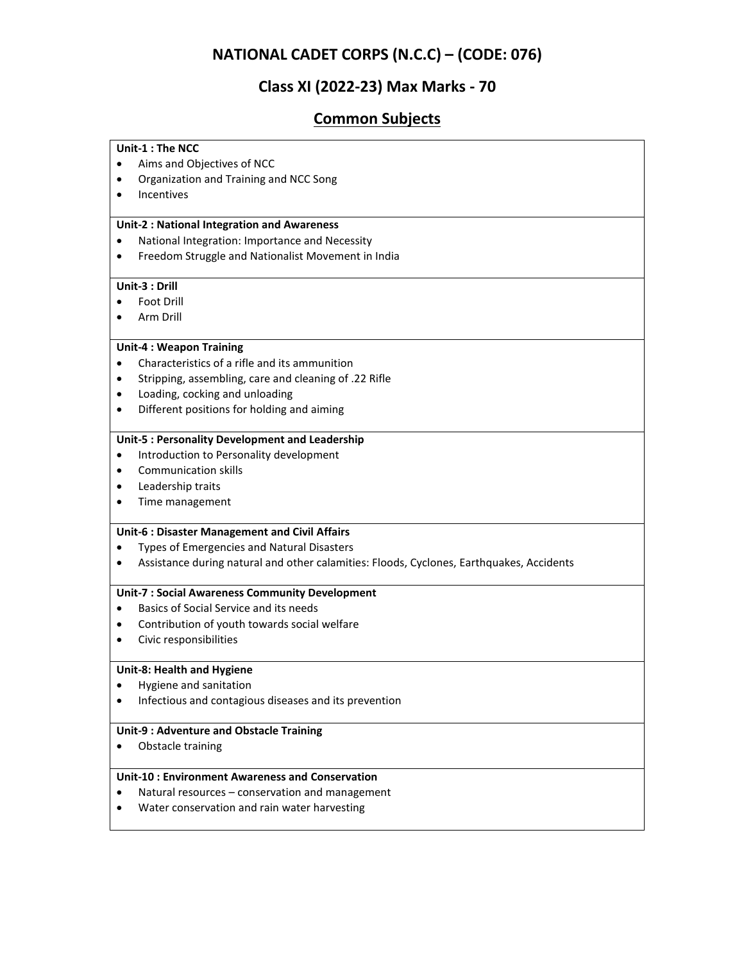# **NATIONAL CADET CORPS (N.C.C) – (CODE: 076)**

# **Class XI (2022-23) Max Marks - 70**

# **Common Subjects**

| Unit-1 : The NCC                                                                         |
|------------------------------------------------------------------------------------------|
| Aims and Objectives of NCC                                                               |
| Organization and Training and NCC Song<br>٠                                              |
| Incentives<br>٠                                                                          |
|                                                                                          |
| <b>Unit-2: National Integration and Awareness</b>                                        |
| National Integration: Importance and Necessity<br>$\bullet$                              |
| Freedom Struggle and Nationalist Movement in India                                       |
| Unit-3 : Drill                                                                           |
| Foot Drill                                                                               |
| Arm Drill                                                                                |
| <b>Unit-4: Weapon Training</b>                                                           |
| Characteristics of a rifle and its ammunition<br>$\bullet$                               |
| Stripping, assembling, care and cleaning of .22 Rifle<br>$\bullet$                       |
| Loading, cocking and unloading<br>٠                                                      |
| Different positions for holding and aiming<br>$\bullet$                                  |
| Unit-5 : Personality Development and Leadership                                          |
| Introduction to Personality development<br>٠                                             |
| <b>Communication skills</b><br>$\bullet$                                                 |
| Leadership traits<br>$\bullet$                                                           |
| Time management<br>$\bullet$                                                             |
| Unit-6 : Disaster Management and Civil Affairs                                           |
| Types of Emergencies and Natural Disasters                                               |
| Assistance during natural and other calamities: Floods, Cyclones, Earthquakes, Accidents |
| <b>Unit-7: Social Awareness Community Development</b>                                    |
| Basics of Social Service and its needs                                                   |
| Contribution of youth towards social welfare<br>$\bullet$                                |
| Civic responsibilities<br>$\bullet$                                                      |
| Unit-8: Health and Hygiene                                                               |
| Hygiene and sanitation                                                                   |
| Infectious and contagious diseases and its prevention<br>$\bullet$                       |
| Unit-9 : Adventure and Obstacle Training                                                 |
| Obstacle training                                                                        |
| <b>Unit-10: Environment Awareness and Conservation</b>                                   |
| Natural resources - conservation and management<br>$\bullet$                             |
| Water conservation and rain water harvesting                                             |
|                                                                                          |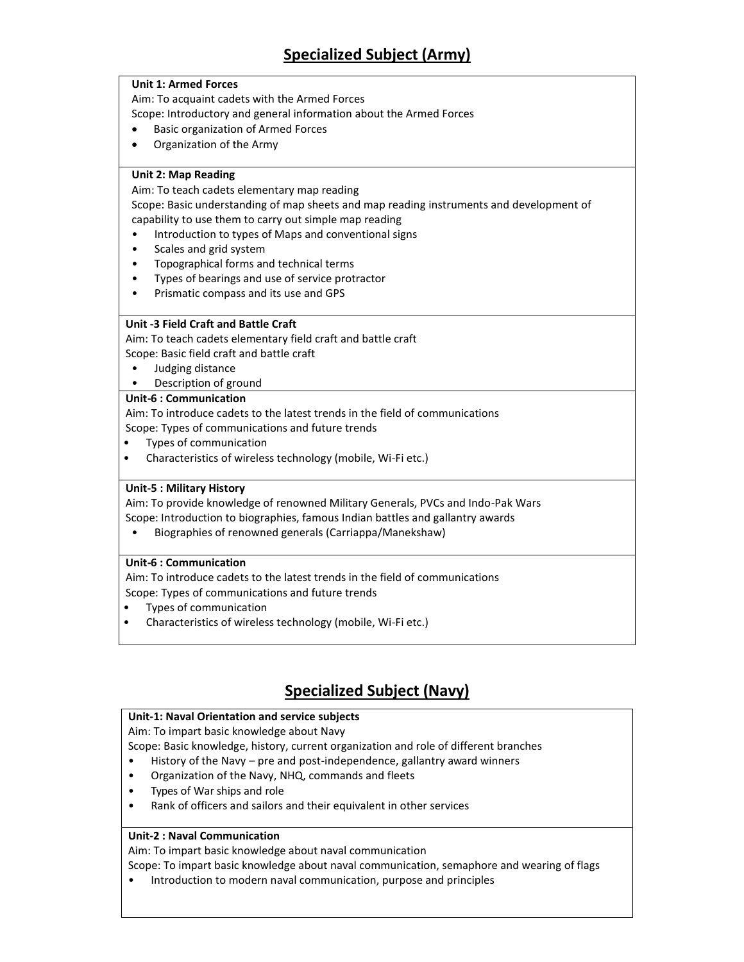# **Specialized Subject (Army)**

#### **Unit 1: Armed Forces**

Aim: To acquaint cadets with the Armed Forces

Scope: Introductory and general information about the Armed Forces

- Basic organization of Armed Forces
- Organization of the Army

### **Unit 2: Map Reading**

Aim: To teach cadets elementary map reading

Scope: Basic understanding of map sheets and map reading instruments and development of capability to use them to carry out simple map reading

- Introduction to types of Maps and conventional signs
- Scales and grid system
- Topographical forms and technical terms
- Types of bearings and use of service protractor
- Prismatic compass and its use and GPS

### **Unit -3 Field Craft and Battle Craft**

Aim: To teach cadets elementary field craft and battle craft Scope: Basic field craft and battle craft

- Judging distance
- Description of ground

#### **Unit-6 : Communication**

Aim: To introduce cadets to the latest trends in the field of communications Scope: Types of communications and future trends

- Types of communication
- Characteristics of wireless technology (mobile, Wi-Fi etc.)

### **Unit-5 : Military History**

Aim: To provide knowledge of renowned Military Generals, PVCs and Indo-Pak Wars Scope: Introduction to biographies, famous Indian battles and gallantry awards

• Biographies of renowned generals (Carriappa/Manekshaw)

#### **Unit-6 : Communication**

Aim: To introduce cadets to the latest trends in the field of communications Scope: Types of communications and future trends

- Types of communication
- Characteristics of wireless technology (mobile, Wi-Fi etc.)

# **Specialized Subject (Navy)**

#### **Unit-1: Naval Orientation and service subjects**

Aim: To impart basic knowledge about Navy

Scope: Basic knowledge, history, current organization and role of different branches

- History of the Navy pre and post-independence, gallantry award winners
- Organization of the Navy, NHQ, commands and fleets
- Types of War ships and role
- Rank of officers and sailors and their equivalent in other services

#### **Unit-2 : Naval Communication**

Aim: To impart basic knowledge about naval communication

Scope: To impart basic knowledge about naval communication, semaphore and wearing of flags

• Introduction to modern naval communication, purpose and principles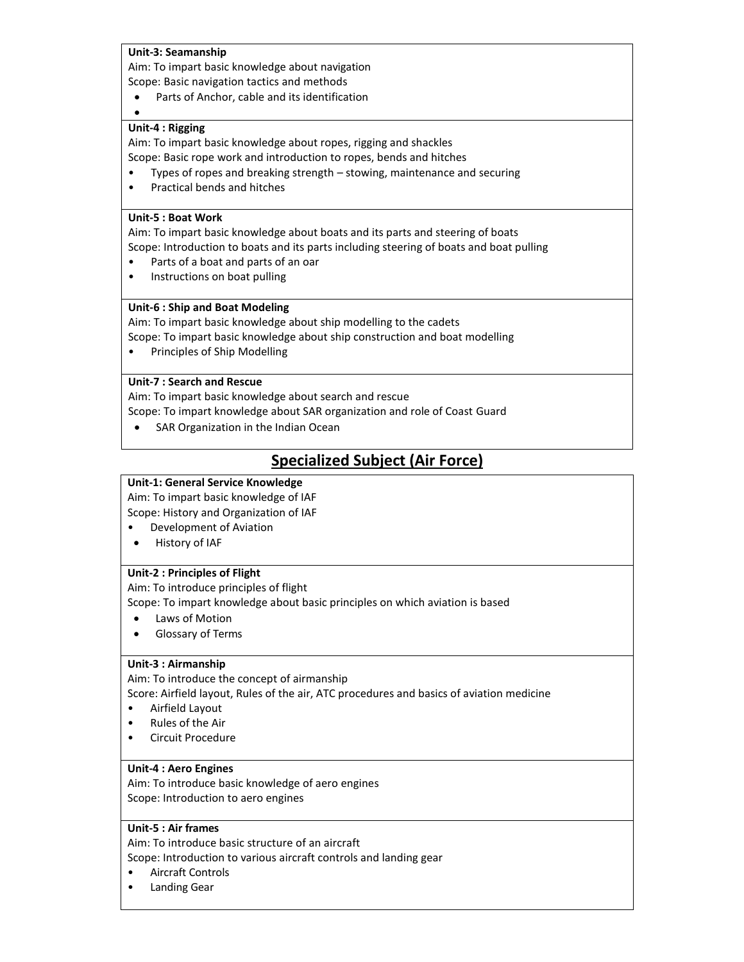#### **Unit-3: Seamanship**

Aim: To impart basic knowledge about navigation Scope: Basic navigation tactics and methods

Parts of Anchor, cable and its identification

#### **Unit-4 : Rigging**

 $\bullet$ 

Aim: To impart basic knowledge about ropes, rigging and shackles Scope: Basic rope work and introduction to ropes, bends and hitches

- Types of ropes and breaking strength stowing, maintenance and securing
- Practical bends and hitches

#### **Unit-5 : Boat Work**

Aim: To impart basic knowledge about boats and its parts and steering of boats Scope: Introduction to boats and its parts including steering of boats and boat pulling

- Parts of a boat and parts of an oar
- Instructions on boat pulling

#### **Unit-6 : Ship and Boat Modeling**

Aim: To impart basic knowledge about ship modelling to the cadets

- Scope: To impart basic knowledge about ship construction and boat modelling
- Principles of Ship Modelling

#### **Unit-7 : Search and Rescue**

Aim: To impart basic knowledge about search and rescue

Scope: To impart knowledge about SAR organization and role of Coast Guard

• SAR Organization in the Indian Ocean

# **Specialized Subject (Air Force)**

#### **Unit-1: General Service Knowledge**

Aim: To impart basic knowledge of IAF Scope: History and Organization of IAF

- Development of Aviation
- History of IAF

#### **Unit-2 : Principles of Flight**

Aim: To introduce principles of flight

Scope: To impart knowledge about basic principles on which aviation is based

- Laws of Motion
- Glossary of Terms

#### **Unit-3 : Airmanship**

Aim: To introduce the concept of airmanship

Score: Airfield layout, Rules of the air, ATC procedures and basics of aviation medicine

- Airfield Layout
- Rules of the Air
- Circuit Procedure

#### **Unit-4 : Aero Engines**

Aim: To introduce basic knowledge of aero engines Scope: Introduction to aero engines

#### **Unit-5 : Air frames**

Aim: To introduce basic structure of an aircraft

Scope: Introduction to various aircraft controls and landing gear

- Aircraft Controls
- Landing Gear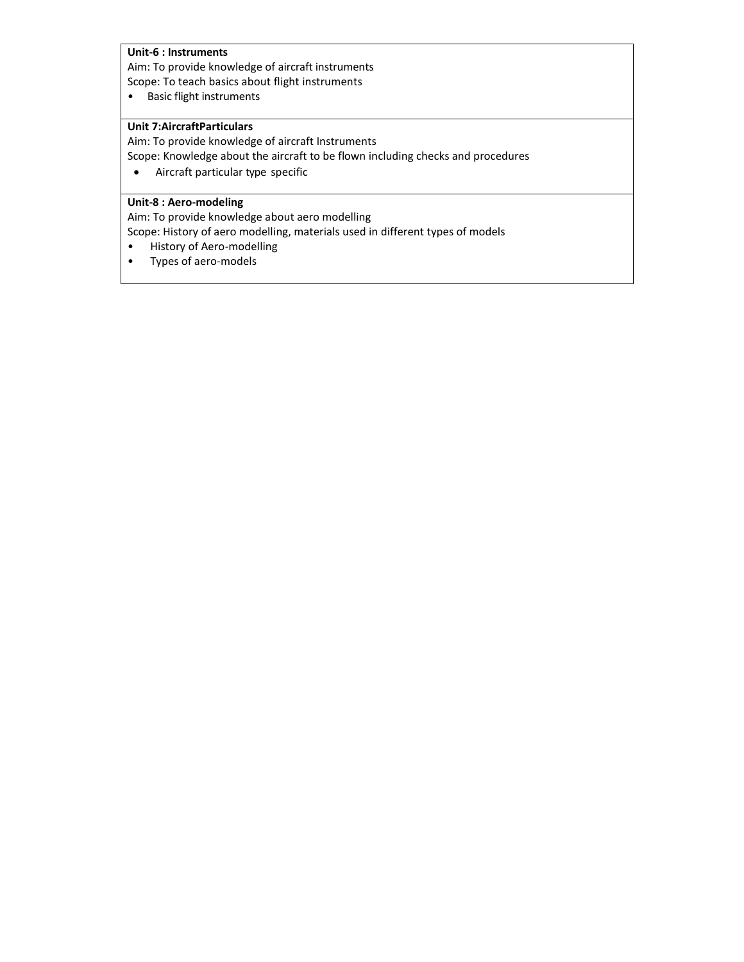### **Unit-6 : Instruments**

Aim: To provide knowledge of aircraft instruments Scope: To teach basics about flight instruments

• Basic flight instruments

#### **Unit 7:AircraftParticulars**

Aim: To provide knowledge of aircraft Instruments

Scope: Knowledge about the aircraft to be flown including checks and procedures

Aircraft particular type specific

## **Unit-8 : Aero-modeling**

Aim: To provide knowledge about aero modelling

Scope: History of aero modelling, materials used in different types of models

- History of Aero-modelling
- Types of aero-models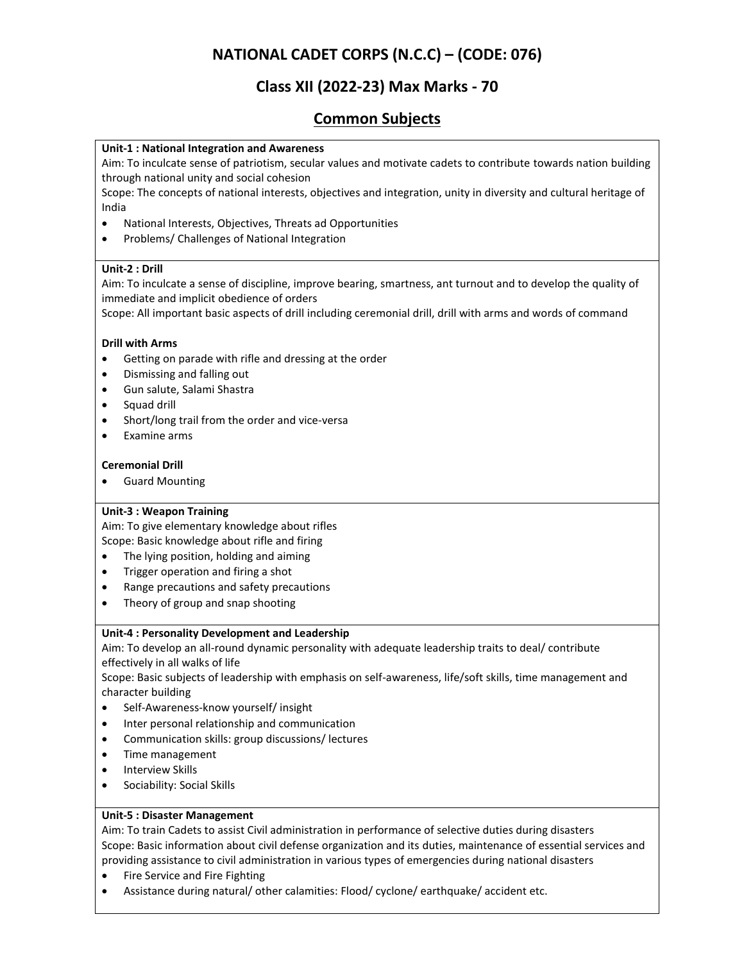# **NATIONAL CADET CORPS (N.C.C) – (CODE: 076)**

# **Class XII (2022-23) Max Marks - 70**

# **Common Subjects**

### **Unit-1 : National Integration and Awareness**

Aim: To inculcate sense of patriotism, secular values and motivate cadets to contribute towards nation building through national unity and social cohesion

Scope: The concepts of national interests, objectives and integration, unity in diversity and cultural heritage of India

- National Interests, Objectives, Threats ad Opportunities
- Problems/ Challenges of National Integration

### **Unit-2 : Drill**

Aim: To inculcate a sense of discipline, improve bearing, smartness, ant turnout and to develop the quality of immediate and implicit obedience of orders

Scope: All important basic aspects of drill including ceremonial drill, drill with arms and words of command

#### **Drill with Arms**

- Getting on parade with rifle and dressing at the order
- Dismissing and falling out
- Gun salute, Salami Shastra
- Squad drill
- Short/long trail from the order and vice-versa
- Examine arms

#### **Ceremonial Drill**

Guard Mounting

#### **Unit-3 : Weapon Training**

Aim: To give elementary knowledge about rifles Scope: Basic knowledge about rifle and firing

- The lying position, holding and aiming
- Trigger operation and firing a shot
- Range precautions and safety precautions
- Theory of group and snap shooting

#### **Unit-4 : Personality Development and Leadership**

Aim: To develop an all-round dynamic personality with adequate leadership traits to deal/ contribute effectively in all walks of life

Scope: Basic subjects of leadership with emphasis on self-awareness, life/soft skills, time management and character building

- Self-Awareness-know yourself/ insight
- Inter personal relationship and communication
- Communication skills: group discussions/ lectures
- Time management
- Interview Skills
- Sociability: Social Skills

#### **Unit-5 : Disaster Management**

Aim: To train Cadets to assist Civil administration in performance of selective duties during disasters Scope: Basic information about civil defense organization and its duties, maintenance of essential services and providing assistance to civil administration in various types of emergencies during national disasters

- Fire Service and Fire Fighting
- Assistance during natural/ other calamities: Flood/ cyclone/ earthquake/ accident etc.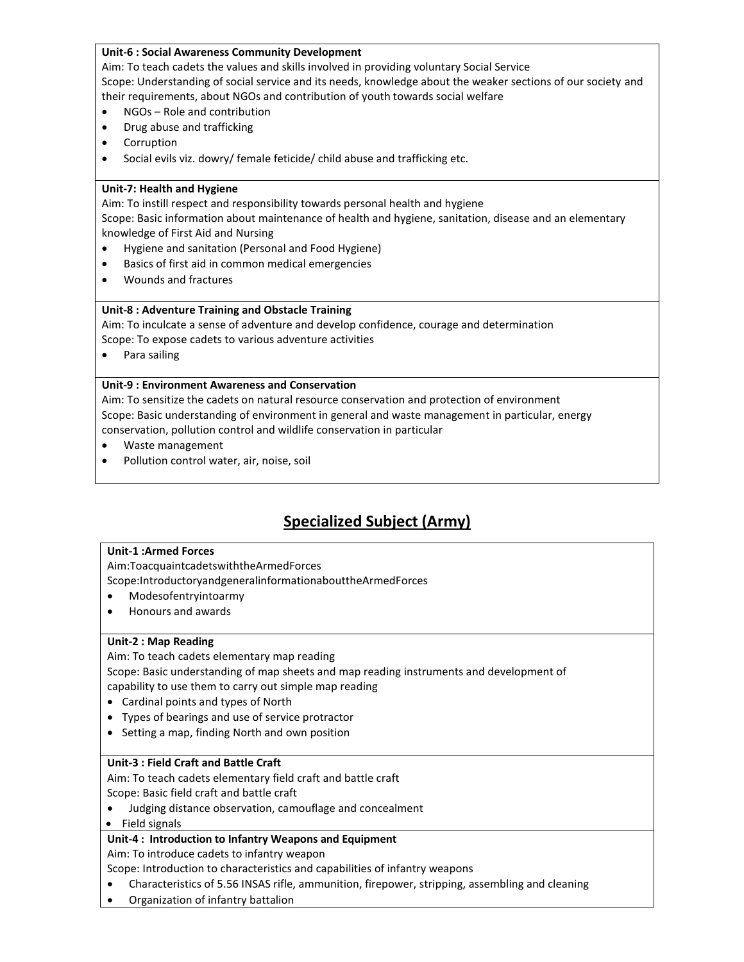#### **Unit-6 : Social Awareness Community Development**

Aim: To teach cadets the values and skills involved in providing voluntary Social Service Scope: Understanding of social service and its needs, knowledge about the weaker sections of our society and their requirements, about NGOs and contribution of youth towards social welfare

- NGOs Role and contribution
- Drug abuse and trafficking
- Corruption
- Social evils viz. dowry/ female feticide/ child abuse and trafficking etc.

#### **Unit-7: Health and Hygiene**

Aim: To instill respect and responsibility towards personal health and hygiene Scope: Basic information about maintenance of health and hygiene, sanitation, disease and an elementary knowledge of First Aid and Nursing

- Hygiene and sanitation (Personal and Food Hygiene)
- Basics of first aid in common medical emergencies
- Wounds and fractures

#### **Unit-8 : Adventure Training and Obstacle Training**

Aim: To inculcate a sense of adventure and develop confidence, courage and determination Scope: To expose cadets to various adventure activities

Para sailing

#### **Unit-9 : Environment Awareness and Conservation**

Aim: To sensitize the cadets on natural resource conservation and protection of environment Scope: Basic understanding of environment in general and waste management in particular, energy conservation, pollution control and wildlife conservation in particular

- Waste management
- Pollution control water, air, noise, soil

# **Specialized Subject (Army)**

#### **Unit-1 :Armed Forces**

Aim:ToacquaintcadetswiththeArmedForces

Scope:IntroductoryandgeneralinformationabouttheArmedForces

- Modesofentryintoarmy
- Honours and awards

#### **Unit-2 : Map Reading**

Aim: To teach cadets elementary map reading

Scope: Basic understanding of map sheets and map reading instruments and development of capability to use them to carry out simple map reading

- Cardinal points and types of North
- Types of bearings and use of service protractor
- Setting a map, finding North and own position

#### **Unit-3 : Field Craft and Battle Craft**

Aim: To teach cadets elementary field craft and battle craft Scope: Basic field craft and battle craft

Judging distance observation, camouflage and concealment

#### • Field signals

### **Unit-4 : Introduction to Infantry Weapons and Equipment**

Aim: To introduce cadets to infantry weapon

Scope: Introduction to characteristics and capabilities of infantry weapons

- Characteristics of 5.56 INSAS rifle, ammunition, firepower, stripping, assembling and cleaning
- Organization of infantry battalion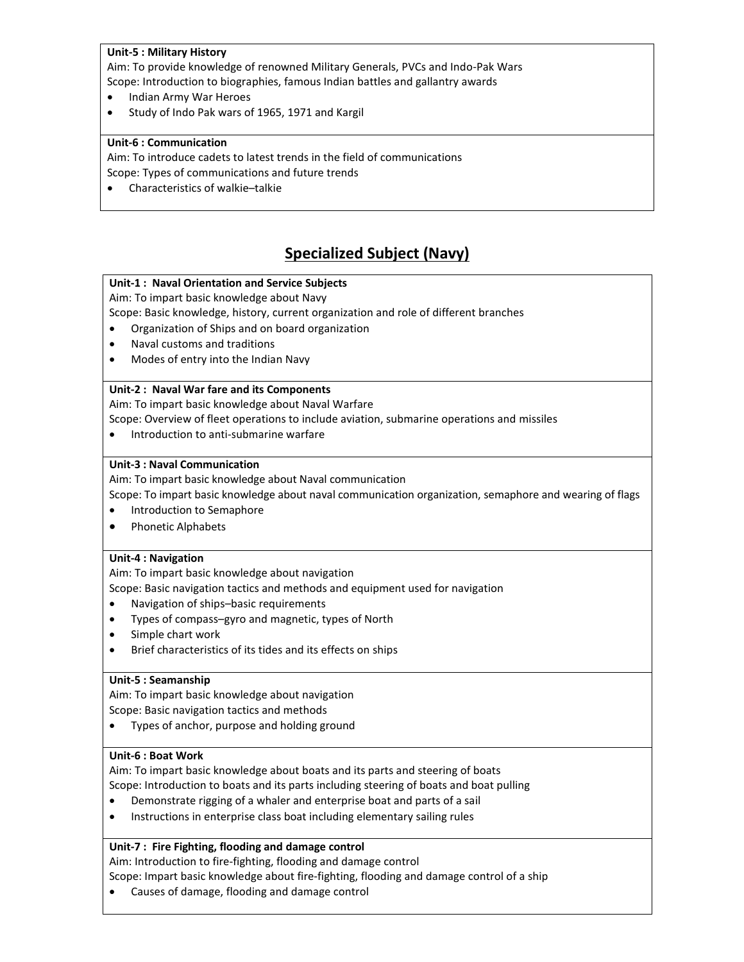#### **Unit-5 : Military History**

Aim: To provide knowledge of renowned Military Generals, PVCs and Indo-Pak Wars Scope: Introduction to biographies, famous Indian battles and gallantry awards

- Indian Army War Heroes
- Study of Indo Pak wars of 1965, 1971 and Kargil

#### **Unit-6 : Communication**

Aim: To introduce cadets to latest trends in the field of communications Scope: Types of communications and future trends

Characteristics of walkie–talkie

# **Specialized Subject (Navy)**

### **Unit-1 : Naval Orientation and Service Subjects**

Aim: To impart basic knowledge about Navy

Scope: Basic knowledge, history, current organization and role of different branches

- Organization of Ships and on board organization
- Naval customs and traditions
- Modes of entry into the Indian Navy

### **Unit-2 : Naval War fare and its Components**

Aim: To impart basic knowledge about Naval Warfare

Scope: Overview of fleet operations to include aviation, submarine operations and missiles

• Introduction to anti-submarine warfare

#### **Unit-3 : Naval Communication**

Aim: To impart basic knowledge about Naval communication

Scope: To impart basic knowledge about naval communication organization, semaphore and wearing of flags

- Introduction to Semaphore
- Phonetic Alphabets

#### **Unit-4 : Navigation**

Aim: To impart basic knowledge about navigation

Scope: Basic navigation tactics and methods and equipment used for navigation

- Navigation of ships–basic requirements
- Types of compass–gyro and magnetic, types of North
- Simple chart work
- Brief characteristics of its tides and its effects on ships

### **Unit-5 : Seamanship**

Aim: To impart basic knowledge about navigation

Scope: Basic navigation tactics and methods

Types of anchor, purpose and holding ground

### **Unit-6 : Boat Work**

Aim: To impart basic knowledge about boats and its parts and steering of boats Scope: Introduction to boats and its parts including steering of boats and boat pulling

- Demonstrate rigging of a whaler and enterprise boat and parts of a sail
- Instructions in enterprise class boat including elementary sailing rules

#### **Unit-7 : Fire Fighting, flooding and damage control**

Aim: Introduction to fire-fighting, flooding and damage control

Scope: Impart basic knowledge about fire-fighting, flooding and damage control of a ship

Causes of damage, flooding and damage control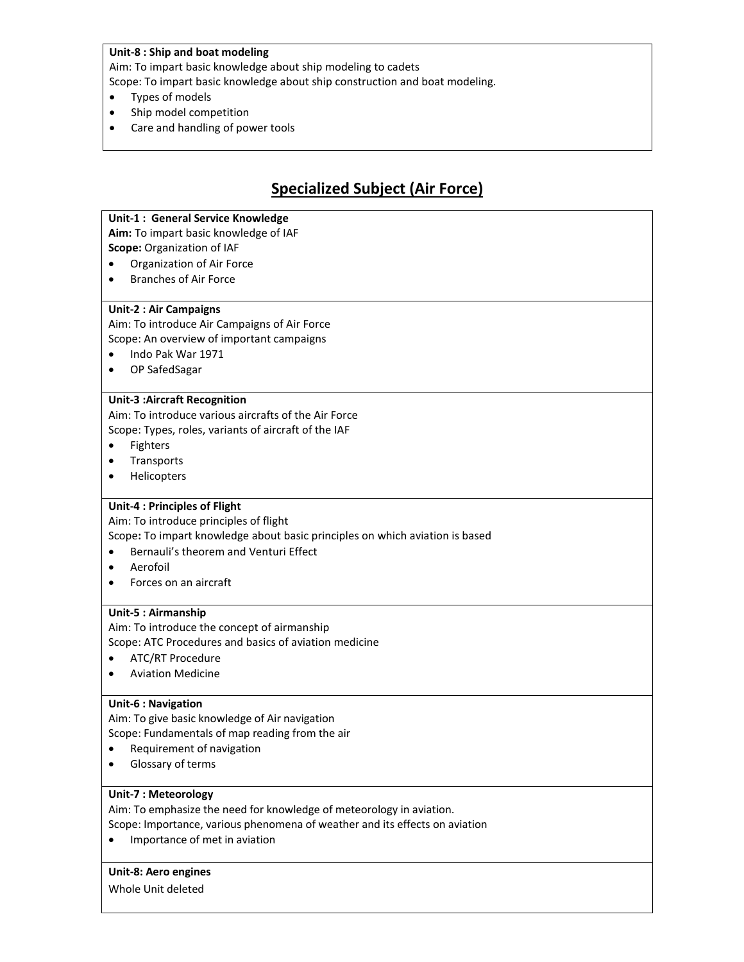#### **Unit-8 : Ship and boat modeling**

Aim: To impart basic knowledge about ship modeling to cadets

Scope: To impart basic knowledge about ship construction and boat modeling.

- Types of models
- Ship model competition
- Care and handling of power tools

# **Specialized Subject (Air Force)**

#### **Unit-1 : General Service Knowledge**

**Aim:** To impart basic knowledge of IAF

**Scope:** Organization of IAF

- Organization of Air Force
- Branches of Air Force

#### **Unit-2 : Air Campaigns**

Aim: To introduce Air Campaigns of Air Force Scope: An overview of important campaigns

- Indo Pak War 1971
- OP SafedSagar

### **Unit-3 :Aircraft Recognition**

Aim: To introduce various aircrafts of the Air Force Scope: Types, roles, variants of aircraft of the IAF

- Fighters
- Transports
- **•** Helicopters

#### **Unit-4 : Principles of Flight**

Aim: To introduce principles of flight

Scope**:** To impart knowledge about basic principles on which aviation is based

- Bernauli's theorem and Venturi Effect
- Aerofoil
- Forces on an aircraft

#### **Unit-5 : Airmanship**

Aim: To introduce the concept of airmanship Scope: ATC Procedures and basics of aviation medicine

- ATC/RT Procedure
- Aviation Medicine

#### **Unit-6 : Navigation**

Aim: To give basic knowledge of Air navigation Scope: Fundamentals of map reading from the air

- Requirement of navigation
- Glossary of terms

#### **Unit-7 : Meteorology**

Aim: To emphasize the need for knowledge of meteorology in aviation.

Scope: Importance, various phenomena of weather and its effects on aviation

• Importance of met in aviation

#### **Unit-8: Aero engines**

Whole Unit deleted